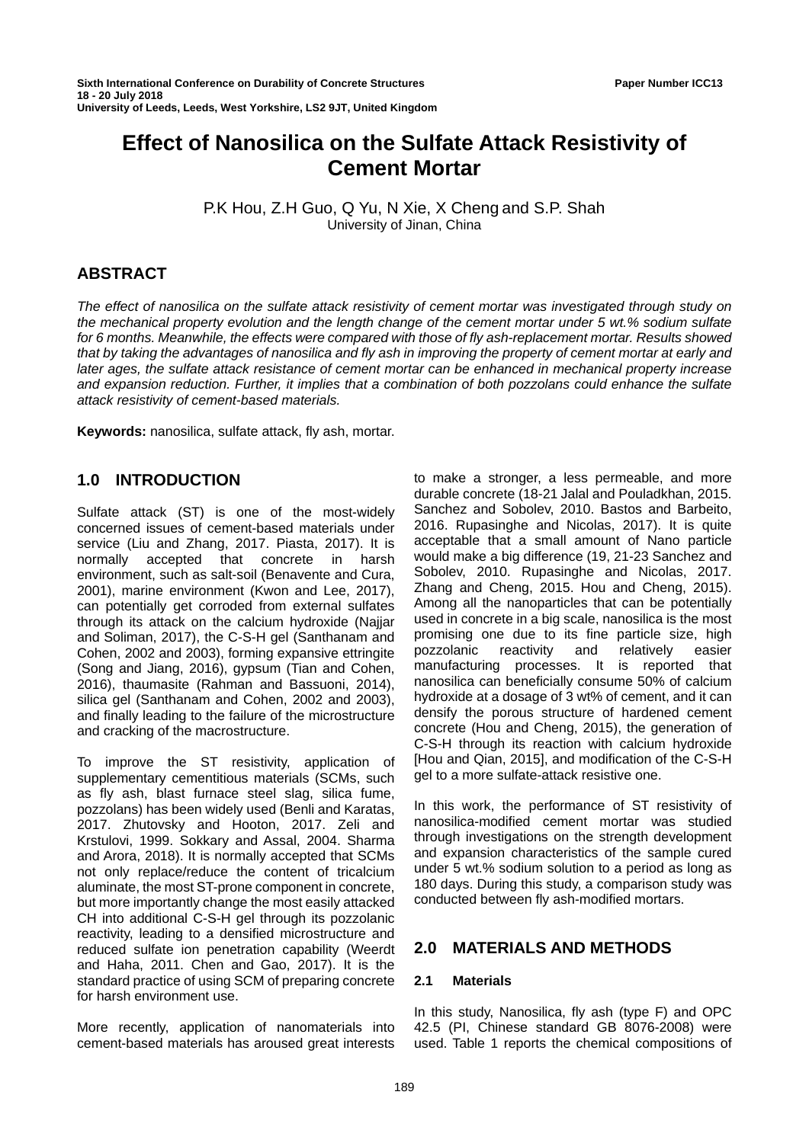# **Effect of Nanosilica on the Sulfate Attack Resistivity of Cement Mortar**

P.K Hou, Z.H Guo, Q Yu, N Xie, X Cheng and S.P. Shah University of Jinan, China

# **ABSTRACT**

*The effect of nanosilica on the sulfate attack resistivity of cement mortar was investigated through study on the mechanical property evolution and the length change of the cement mortar under 5 wt.% sodium sulfate for 6 months. Meanwhile, the effects were compared with those of fly ash-replacement mortar. Results showed that by taking the advantages of nanosilica and fly ash in improving the property of cement mortar at early and later ages, the sulfate attack resistance of cement mortar can be enhanced in mechanical property increase and expansion reduction. Further, it implies that a combination of both pozzolans could enhance the sulfate attack resistivity of cement-based materials.*

**Keywords:** nanosilica, sulfate attack, fly ash, mortar.

# **1.0 INTRODUCTION**

Sulfate attack (ST) is one of the most-widely concerned issues of cement-based materials under service (Liu and Zhang, 2017. Piasta, 2017). It is normally accepted that concrete in harsh environment, such as salt-soil (Benavente and Cura, 2001), marine environment (Kwon and Lee, 2017), can potentially get corroded from external sulfates through its attack on the calcium hydroxide (Najjar and Soliman, 2017), the C-S-H gel (Santhanam and Cohen, 2002 and 2003), forming expansive ettringite (Song and Jiang, 2016), gypsum (Tian and Cohen, 2016), thaumasite (Rahman and Bassuoni, 2014), silica gel (Santhanam and Cohen, 2002 and 2003), and finally leading to the failure of the microstructure and cracking of the macrostructure.

To improve the ST resistivity, application of supplementary cementitious materials (SCMs, such as fly ash, blast furnace steel slag, silica fume, pozzolans) has been widely used (Benli and Karatas, 2017. Zhutovsky and Hooton, 2017. Zeli and Krstulovi, 1999. Sokkary and Assal, 2004. Sharma and Arora, 2018). It is normally accepted that SCMs not only replace/reduce the content of tricalcium aluminate, the most ST-prone component in concrete, but more importantly change the most easily attacked CH into additional C-S-H gel through its pozzolanic reactivity, leading to a densified microstructure and reduced sulfate ion penetration capability (Weerdt and Haha, 2011. Chen and Gao, 2017). It is the standard practice of using SCM of preparing concrete for harsh environment use.

More recently, application of nanomaterials into cement-based materials has aroused great interests to make a stronger, a less permeable, and more durable concrete (18-21 Jalal and Pouladkhan, 2015. Sanchez and Sobolev, 2010. Bastos and Barbeito, 2016. Rupasinghe and Nicolas, 2017). It is quite acceptable that a small amount of Nano particle would make a big difference (19, 21-23 Sanchez and Sobolev, 2010. Rupasinghe and Nicolas, 2017. Zhang and Cheng, 2015. Hou and Cheng, 2015). Among all the nanoparticles that can be potentially used in concrete in a big scale, nanosilica is the most promising one due to its fine particle size, high pozzolanic reactivity and relatively easier manufacturing processes. It is reported that nanosilica can beneficially consume 50% of calcium hydroxide at a dosage of 3 wt% of cement, and it can densify the porous structure of hardened cement concrete (Hou and Cheng, 2015), the generation of C-S-H through its reaction with calcium hydroxide [Hou and Qian, 2015], and modification of the C-S-H gel to a more sulfate-attack resistive one.

In this work, the performance of ST resistivity of nanosilica-modified cement mortar was studied through investigations on the strength development and expansion characteristics of the sample cured under 5 wt.% sodium solution to a period as long as 180 days. During this study, a comparison study was conducted between fly ash-modified mortars.

# **2.0 MATERIALS AND METHODS**

## **2.1 Materials**

In this study, Nanosilica, fly ash (type F) and OPC 42.5 (PI, Chinese standard GB 8076-2008) were used. Table 1 reports the chemical compositions of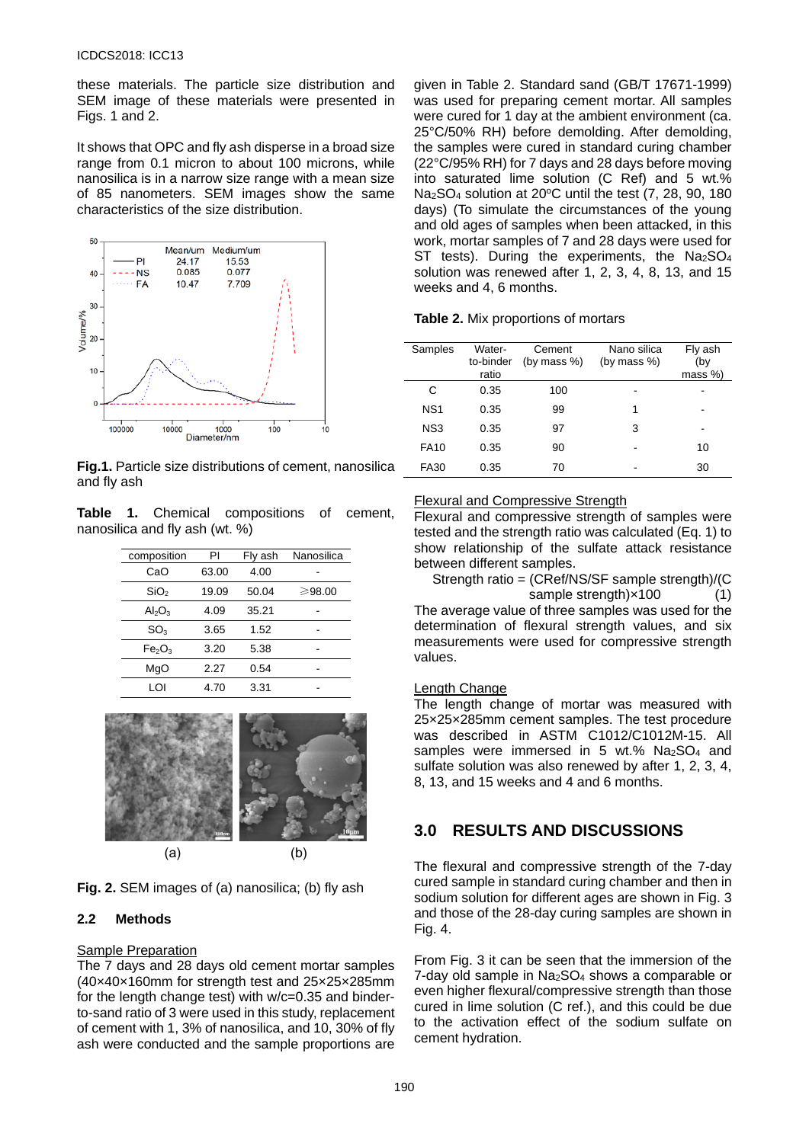### ICDCS2018: ICC13

these materials. The particle size distribution and SEM image of these materials were presented in Figs. 1 and 2.

It shows that OPC and fly ash disperse in a broad size range from 0.1 micron to about 100 microns, while nanosilica is in a narrow size range with a mean size of 85 nanometers. SEM images show the same characteristics of the size distribution.



**Fig.1.** Particle size distributions of cement, nanosilica and fly ash

**Table 1.** Chemical compositions of cement, nanosilica and fly ash (wt. %)

| composition                    | PI    | Fly ash | Nanosilica |  |
|--------------------------------|-------|---------|------------|--|
| CaO                            | 63.00 | 4.00    |            |  |
| SiO <sub>2</sub>               | 19.09 | 50.04   | ≥98.00     |  |
| $Al_2O_3$                      | 4.09  | 35.21   |            |  |
| SO <sub>3</sub>                | 3.65  | 1.52    |            |  |
| Fe <sub>2</sub> O <sub>3</sub> | 3.20  | 5.38    |            |  |
| MqO                            | 2.27  | 0.54    |            |  |
| וח ו                           | 4.70  | 3.31    |            |  |





### **2.2 Methods**

#### Sample Preparation

The 7 days and 28 days old cement mortar samples (40×40×160mm for strength test and 25×25×285mm for the length change test) with w/c=0.35 and binderto-sand ratio of 3 were used in this study, replacement of cement with 1, 3% of nanosilica, and 10, 30% of fly ash were conducted and the sample proportions are

given in Table 2. Standard sand (GB/T 17671-1999) was used for preparing cement mortar. All samples were cured for 1 day at the ambient environment (ca. 25°C/50% RH) before demolding. After demolding, the samples were cured in standard curing chamber (22°C/95% RH) for 7 days and 28 days before moving into saturated lime solution (C Ref) and 5 wt.%  $Na<sub>2</sub>SO<sub>4</sub>$  solution at 20 $^{\circ}$ C until the test (7, 28, 90, 180 days) (To simulate the circumstances of the young and old ages of samples when been attacked, in this work, mortar samples of 7 and 28 days were used for ST tests). During the experiments, the Na<sub>2</sub>SO<sub>4</sub> solution was renewed after 1, 2, 3, 4, 8, 13, and 15 weeks and 4, 6 months.

| Samples         | Water-<br>to-binder<br>ratio | Cement<br>(by mass $%$ ) | Nano silica<br>(by mass $%$ ) | Fly ash<br>(by<br>$mass \%$ |
|-----------------|------------------------------|--------------------------|-------------------------------|-----------------------------|
| C               | 0.35                         | 100                      |                               |                             |
| NS <sub>1</sub> | 0.35                         | 99                       | 1                             |                             |
| NS <sub>3</sub> | 0.35                         | 97                       | 3                             |                             |
| <b>FA10</b>     | 0.35                         | 90                       |                               | 10                          |
| <b>FA30</b>     | 0.35                         | 70                       |                               | 30                          |

### Flexural and Compressive Strength

Flexural and compressive strength of samples were tested and the strength ratio was calculated (Eq. 1) to show relationship of the sulfate attack resistance between different samples.

Strength ratio = (CRef/NS/SF sample strength)/(C sample strength) × 100 (1)

The average value of three samples was used for the determination of flexural strength values, and six measurements were used for compressive strength values.

#### Length Change

The length change of mortar was measured with 25×25×285mm cement samples. The test procedure was described in ASTM C1012/C1012M-15. All samples were immersed in 5 wt.% Na<sub>2</sub>SO<sub>4</sub> and sulfate solution was also renewed by after 1, 2, 3, 4, 8, 13, and 15 weeks and 4 and 6 months.

# **3.0 RESULTS AND DISCUSSIONS**

The flexural and compressive strength of the 7-day cured sample in standard curing chamber and then in sodium solution for different ages are shown in Fig. 3 and those of the 28-day curing samples are shown in Fig. 4.

From Fig. 3 it can be seen that the immersion of the 7-day old sample in Na2SO4 shows a comparable or even higher flexural/compressive strength than those cured in lime solution (C ref.), and this could be due to the activation effect of the sodium sulfate on cement hydration.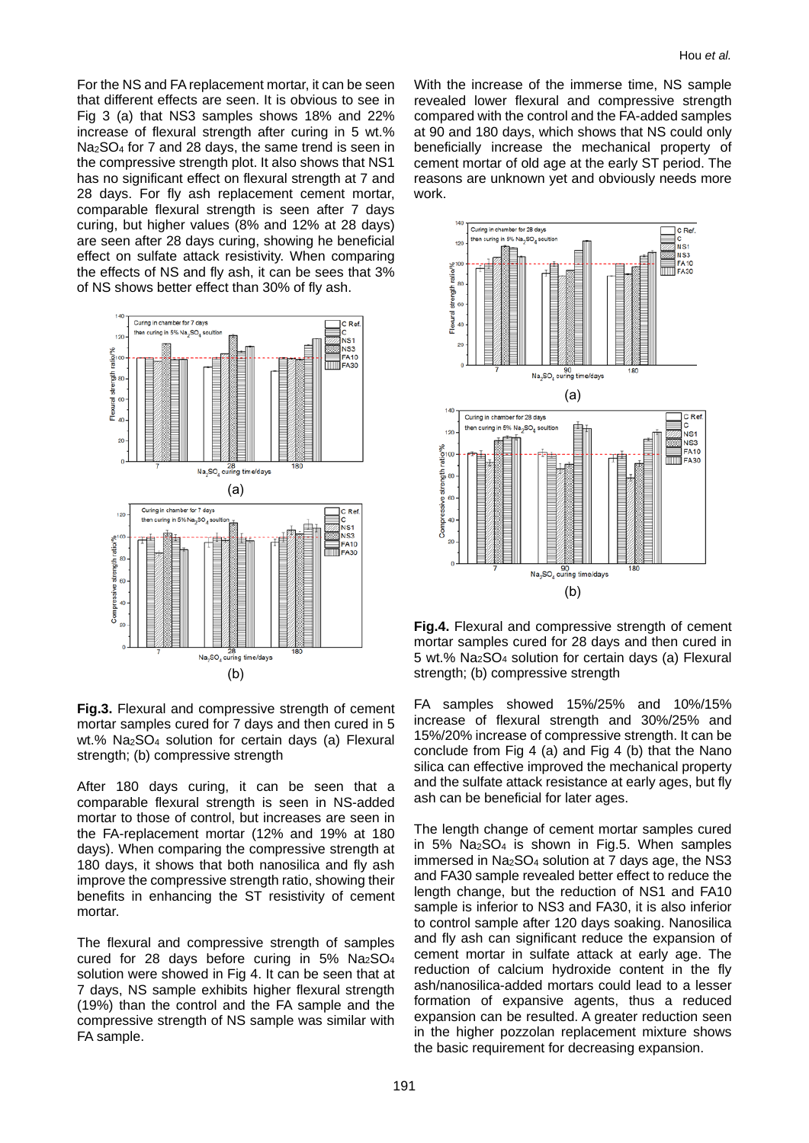For the NS and FA replacement mortar, it can be seen that different effects are seen. It is obvious to see in Fig 3 (a) that NS3 samples shows 18% and 22% increase of flexural strength after curing in 5 wt.% Na2SO4 for 7 and 28 days, the same trend is seen in the compressive strength plot. It also shows that NS1 has no significant effect on flexural strength at 7 and 28 days. For fly ash replacement cement mortar, comparable flexural strength is seen after 7 days curing, but higher values (8% and 12% at 28 days) are seen after 28 days curing, showing he beneficial effect on sulfate attack resistivity. When comparing the effects of NS and fly ash, it can be sees that 3% of NS shows better effect than 30% of fly ash.



**Fig.3.** Flexural and compressive strength of cement mortar samples cured for 7 days and then cured in 5 wt.% Na2SO4 solution for certain days (a) Flexural strength; (b) compressive strength

After 180 days curing, it can be seen that a comparable flexural strength is seen in NS-added mortar to those of control, but increases are seen in the FA-replacement mortar (12% and 19% at 180 days). When comparing the compressive strength at 180 days, it shows that both nanosilica and fly ash improve the compressive strength ratio, showing their benefits in enhancing the ST resistivity of cement mortar.

The flexural and compressive strength of samples cured for 28 days before curing in 5% Na2SO4 solution were showed in Fig 4. It can be seen that at 7 days, NS sample exhibits higher flexural strength (19%) than the control and the FA sample and the compressive strength of NS sample was similar with FA sample.

With the increase of the immerse time, NS sample revealed lower flexural and compressive strength compared with the control and the FA-added samples at 90 and 180 days, which shows that NS could only beneficially increase the mechanical property of cement mortar of old age at the early ST period. The reasons are unknown yet and obviously needs more work.



**Fig.4.** Flexural and compressive strength of cement mortar samples cured for 28 days and then cured in 5 wt.% Na2SO4 solution for certain days (a) Flexural strength; (b) compressive strength

FA samples showed 15%/25% and 10%/15% increase of flexural strength and 30%/25% and 15%/20% increase of compressive strength. It can be conclude from Fig 4 (a) and Fig 4 (b) that the Nano silica can effective improved the mechanical property and the sulfate attack resistance at early ages, but fly ash can be beneficial for later ages.

The length change of cement mortar samples cured in 5%  $Na<sub>2</sub>SO<sub>4</sub>$  is shown in Fig.5. When samples immersed in Na2SO4 solution at 7 days age, the NS3 and FA30 sample revealed better effect to reduce the length change, but the reduction of NS1 and FA10 sample is inferior to NS3 and FA30, it is also inferior to control sample after 120 days soaking. Nanosilica and fly ash can significant reduce the expansion of cement mortar in sulfate attack at early age. The reduction of calcium hydroxide content in the fly ash/nanosilica-added mortars could lead to a lesser formation of expansive agents, thus a reduced expansion can be resulted. A greater reduction seen in the higher pozzolan replacement mixture shows the basic requirement for decreasing expansion.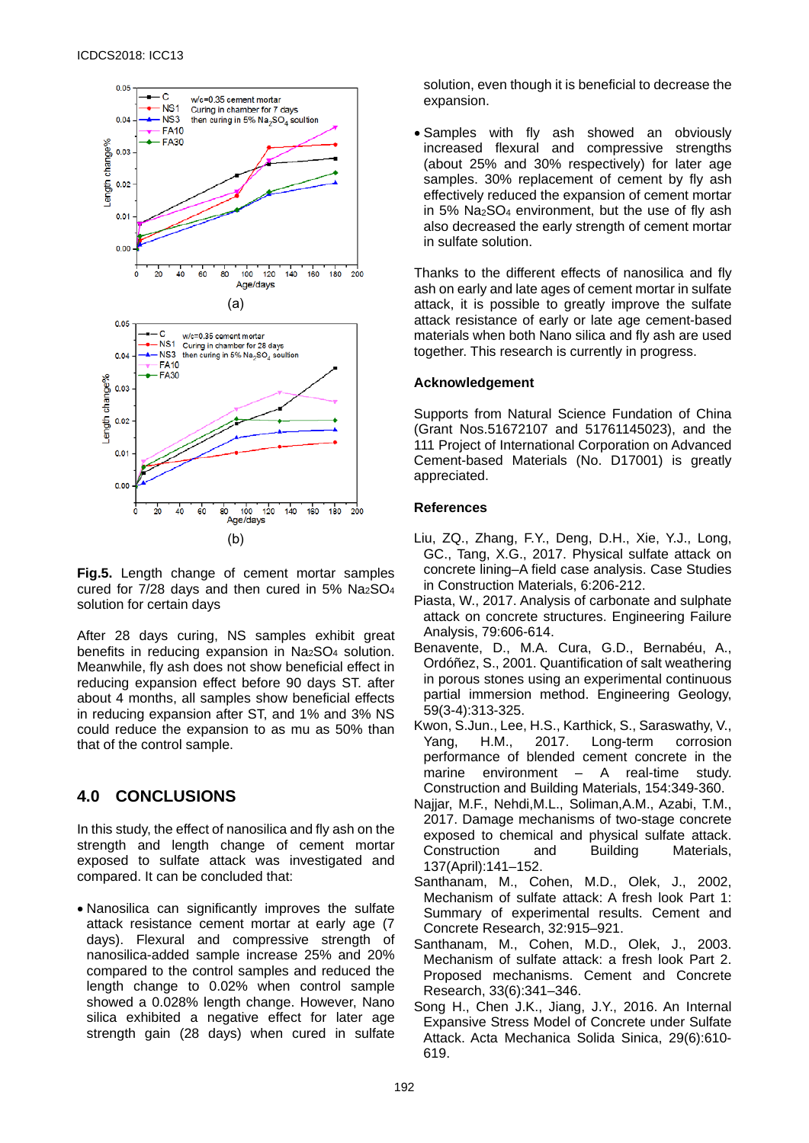

**Fig.5.** Length change of cement mortar samples cured for  $7/28$  days and then cured in 5% Na $25O<sub>4</sub>$ solution for certain days

After 28 days curing, NS samples exhibit great benefits in reducing expansion in Na<sub>2</sub>SO<sub>4</sub> solution. Meanwhile, fly ash does not show beneficial effect in reducing expansion effect before 90 days ST. after about 4 months, all samples show beneficial effects in reducing expansion after ST, and 1% and 3% NS could reduce the expansion to as mu as 50% than that of the control sample.

# **4.0 CONCLUSIONS**

In this study, the effect of nanosilica and fly ash on the strength and length change of cement mortar exposed to sulfate attack was investigated and compared. It can be concluded that:

• Nanosilica can significantly improves the sulfate attack resistance cement mortar at early age (7 days). Flexural and compressive strength of nanosilica-added sample increase 25% and 20% compared to the control samples and reduced the length change to 0.02% when control sample showed a 0.028% length change. However, Nano silica exhibited a negative effect for later age strength gain (28 days) when cured in sulfate

solution, even though it is beneficial to decrease the expansion.

• Samples with fly ash showed an obviously increased flexural and compressive strengths (about 25% and 30% respectively) for later age samples. 30% replacement of cement by fly ash effectively reduced the expansion of cement mortar in 5% Na2SO4 environment, but the use of fly ash also decreased the early strength of cement mortar in sulfate solution.

Thanks to the different effects of nanosilica and fly ash on early and late ages of cement mortar in sulfate attack, it is possible to greatly improve the sulfate attack resistance of early or late age cement-based materials when both Nano silica and fly ash are used together. This research is currently in progress.

### **Acknowledgement**

Supports from Natural Science Fundation of China (Grant Nos.51672107 and 51761145023), and the 111 Project of International Corporation on Advanced Cement-based Materials (No. D17001) is greatly appreciated.

### **References**

- Liu, ZQ., Zhang, F.Y., Deng, D.H., Xie, Y.J., Long, GC., Tang, X.G., 2017. Physical sulfate attack on concrete lining–A field case analysis. Case Studies in Construction Materials, 6:206-212.
- Piasta, W., 2017. Analysis of carbonate and sulphate attack on concrete structures. Engineering Failure Analysis, 79:606-614.
- Benavente, D., M.A. Cura, G.D., Bernabéu, A., Ordóñez, S., 2001. Quantification of salt weathering in porous stones using an experimental continuous partial immersion method. Engineering Geology, 59(3-4):313-325.
- Kwon, S.Jun., Lee, H.S., Karthick, S., Saraswathy, V., Yang, H.M., 2017. Long-term corrosion performance of blended cement concrete in the marine environment – A real-time study. Construction and Building Materials, 154:349-360.
- Najjar, M.F., Nehdi,M.L., Soliman,A.M., Azabi, T.M., 2017. Damage mechanisms of two-stage concrete exposed to chemical and physical sulfate attack. Construction and Building Materials, 137(April):141–152.
- Santhanam, M., Cohen, M.D., Olek, J., 2002, Mechanism of sulfate attack: A fresh look Part 1: Summary of experimental results. Cement and Concrete Research, 32:915–921.
- Santhanam, M., Cohen, M.D., Olek, J., 2003. Mechanism of sulfate attack: a fresh look Part 2. Proposed mechanisms. Cement and Concrete Research, 33(6):341–346.
- Song H., Chen J.K., Jiang, J.Y., 2016. An Internal Expansive Stress Model of Concrete under Sulfate Attack. Acta Mechanica Solida Sinica, 29(6):610- 619.